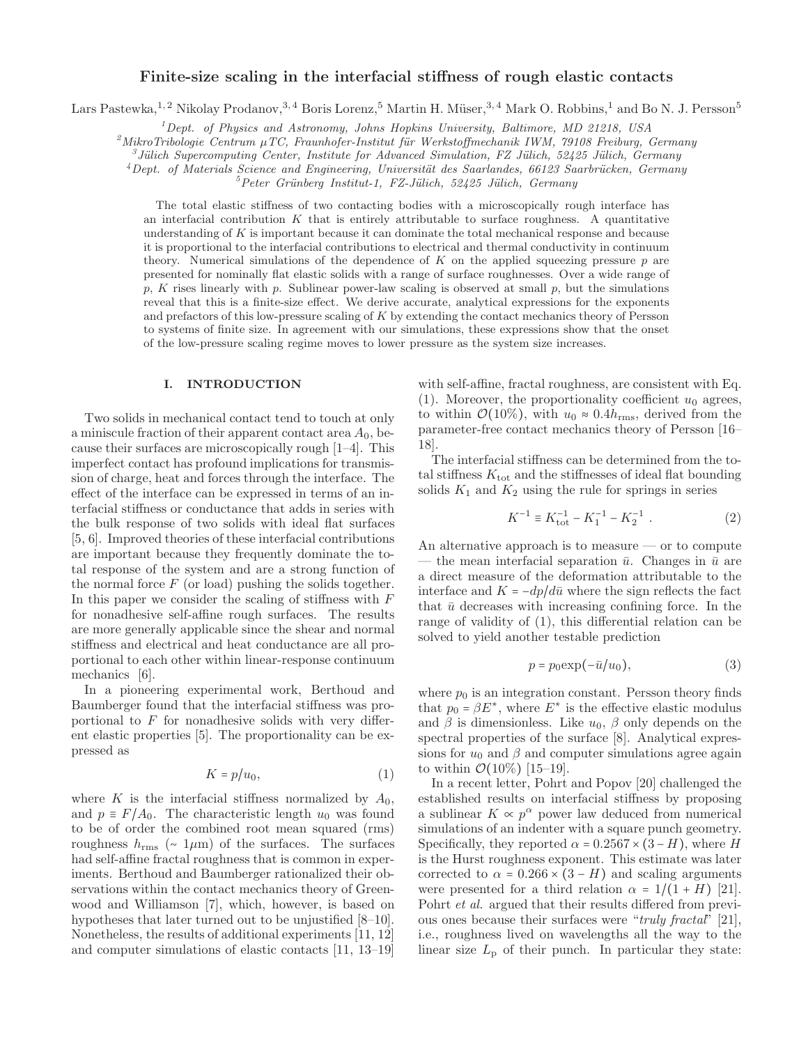# Finite-size scaling in the interfacial stiffness of rough elastic contacts

Lars Pastewka,<sup>1,2</sup> Nikolay Prodanov,<sup>3,4</sup> Boris Lorenz,<sup>5</sup> Martin H. Müser,<sup>3,4</sup> Mark O. Robbins,<sup>1</sup> and Bo N. J. Persson<sup>5</sup>

 $1$ Dept. of Physics and Astronomy, Johns Hopkins University, Baltimore, MD 21218, USA

 $^{2}$ MikroTribologie Centrum  $\mu$ TC, Fraunhofer-Institut für Werkstoffmechanik IWM, 79108 Freiburg, Germany

<sup>3</sup> Jülich Supercomputing Center, Institute for Advanced Simulation, FZ Jülich, 52425 Jülich, Germany

<sup>4</sup>Dept. of Materials Science and Engineering, Universität des Saarlandes, 66123 Saarbrücken, Germany <sup>5</sup>Peter Grünberg Institut-1, FZ-Jülich, 52425 Jülich, Germany

The total elastic stiffness of two contacting bodies with a microscopically rough interface has an interfacial contribution  $K$  that is entirely attributable to surface roughness. A quantitative understanding of  $K$  is important because it can dominate the total mechanical response and because it is proportional to the interfacial contributions to electrical and thermal conductivity in continuum theory. Numerical simulations of the dependence of  $K$  on the applied squeezing pressure  $p$  are presented for nominally flat elastic solids with a range of surface roughnesses. Over a wide range of  $p, K$  rises linearly with p. Sublinear power-law scaling is observed at small  $p$ , but the simulations reveal that this is a finite-size effect. We derive accurate, analytical expressions for the exponents and prefactors of this low-pressure scaling of K by extending the contact mechanics theory of Persson to systems of finite size. In agreement with our simulations, these expressions show that the onset of the low-pressure scaling regime moves to lower pressure as the system size increases.

# I. INTRODUCTION

preserving the relation of the relation of the collist with a range of survive complexies. Over a wise range of the relations and that this is a finite-size effect. We derive a<br>contract the relations and prefactors of thi Two solids in mechanical contact tend to touch at only a miniscule fraction of their apparent contact area  $A_0$ , because their surfaces are microscopically rough [1–4]. This imperfect contact has profound implications for transmission of charge, heat and forces through the interface. The effect of the interface can be expressed in terms of an interfacial stiffness or conductance that adds in series with the bulk response of two solids with ideal flat surfaces [5, 6]. Improved theories of these interfacial contributions are important because they frequently dominate the total response of the system and are a strong function of the normal force  $F$  (or load) pushing the solids together. In this paper we consider the scaling of stiffness with F for nonadhesive self-affine rough surfaces. The results are more generally applicable since the shear and normal stiffness and electrical and heat conductance are all proportional to each other within linear-response continuum mechanics [6].

In a pioneering experimental work, Berthoud and Baumberger found that the interfacial stiffness was proportional to  $F$  for nonadhesive solids with very different elastic properties [5]. The proportionality can be expressed as

$$
K = p/u_0,\tag{1}
$$

where K is the interfacial stiffness normalized by  $A_0$ , and  $p \equiv F/A_0$ . The characteristic length  $u_0$  was found to be of order the combined root mean squared (rms) roughness  $h_{\rm rms}$  (~ 1 $\mu$ m) of the surfaces. The surfaces had self-affine fractal roughness that is common in experiments. Berthoud and Baumberger rationalized their observations within the contact mechanics theory of Greenwood and Williamson [7], which, however, is based on hypotheses that later turned out to be unjustified [8–10]. Nonetheless, the results of additional experiments [11, 12] and computer simulations of elastic contacts [11, 13–19]

with self-affine, fractal roughness, are consistent with Eq. (1). Moreover, the proportionality coefficient  $u_0$  agrees, to within  $\mathcal{O}(10\%)$ , with  $u_0 \approx 0.4h_{\text{rms}}$ , derived from the parameter-free contact mechanics theory of Persson [16– 18].

The interfacial stiffness can be determined from the total stiffness  $K_{\text{tot}}$  and the stiffnesses of ideal flat bounding solids  $K_1$  and  $K_2$  using the rule for springs in series

$$
K^{-1} \equiv K_{\text{tot}}^{-1} - K_1^{-1} - K_2^{-1} . \tag{2}
$$

An alternative approach is to measure  $-$  or to compute — the mean interfacial separation  $\bar{u}$ . Changes in  $\bar{u}$  are a direct measure of the deformation attributable to the interface and  $K = -dp/d\bar{u}$  where the sign reflects the fact that  $\bar{u}$  decreases with increasing confining force. In the range of validity of (1), this differential relation can be solved to yield another testable prediction

$$
p = p_0 \exp(-\bar{u}/u_0),\tag{3}
$$

where  $p_0$  is an integration constant. Persson theory finds that  $p_0 = \beta E^*$ , where  $E^*$  is the effective elastic modulus and  $\beta$  is dimensionless. Like  $u_0$ ,  $\beta$  only depends on the spectral properties of the surface [8]. Analytical expressions for  $u_0$  and  $\beta$  and computer simulations agree again to within  $\mathcal{O}(10\%)$  [15-19].

In a recent letter, Pohrt and Popov [20] challenged the established results on interfacial stiffness by proposing a sublinear  $K \propto p^{\alpha}$  power law deduced from numerical simulations of an indenter with a square punch geometry. Specifically, they reported  $\alpha = 0.2567 \times (3 - H)$ , where H is the Hurst roughness exponent. This estimate was later corrected to  $\alpha = 0.266 \times (3 - H)$  and scaling arguments were presented for a third relation  $\alpha = 1/(1 + H)$  [21]. Pohrt *et al.* argued that their results differed from previous ones because their surfaces were "truly fractal" [21], i.e., roughness lived on wavelengths all the way to the linear size  $L_{\rm p}$  of their punch. In particular they state: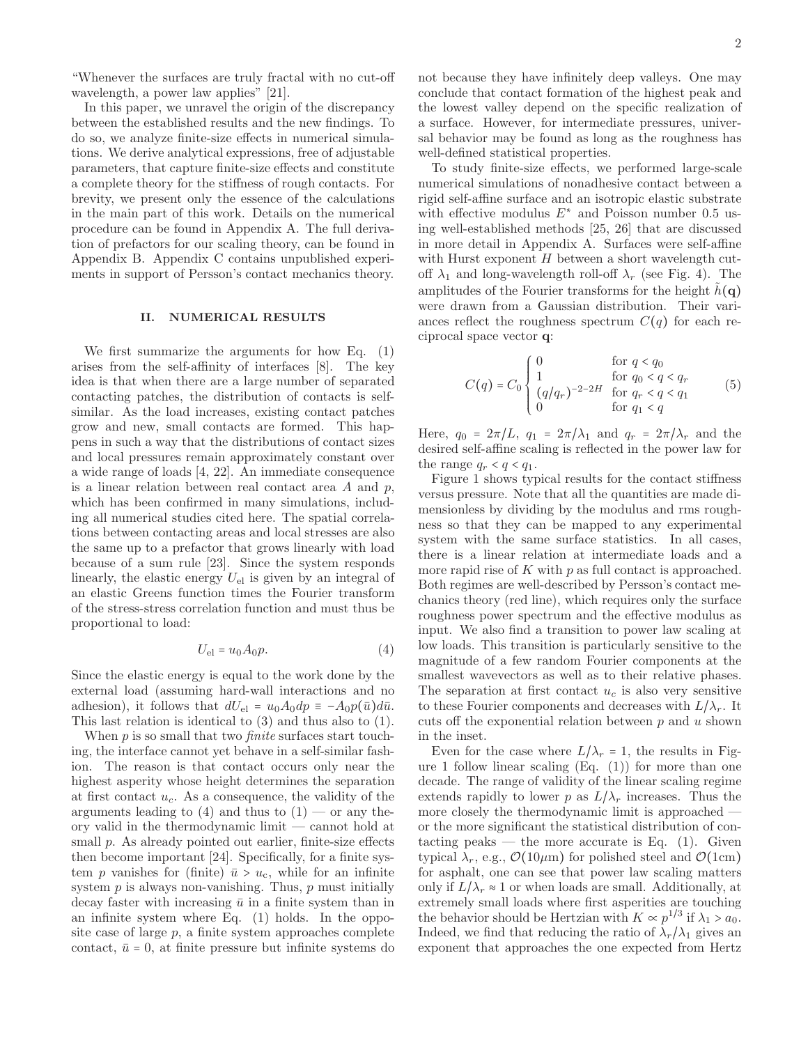"Whenever the surfaces are truly fractal with no cut-off wavelength, a power law applies" [21].

In this paper, we unravel the origin of the discrepancy between the established results and the new findings. To do so, we analyze finite-size effects in numerical simulations. We derive analytical expressions, free of adjustable parameters, that capture finite-size effects and constitute a complete theory for the stiffness of rough contacts. For brevity, we present only the essence of the calculations in the main part of this work. Details on the numerical procedure can be found in Appendix A. The full derivation of prefactors for our scaling theory, can be found in Appendix B. Appendix C contains unpublished experiments in support of Persson's contact mechanics theory.

## II. NUMERICAL RESULTS

We first summarize the arguments for how Eq. (1) arises from the self-affinity of interfaces [8]. The key idea is that when there are a large number of separated contacting patches, the distribution of contacts is selfsimilar. As the load increases, existing contact patches grow and new, small contacts are formed. This happens in such a way that the distributions of contact sizes and local pressures remain approximately constant over a wide range of loads [4, 22]. An immediate consequence is a linear relation between real contact area  $A$  and  $p$ , which has been confirmed in many simulations, including all numerical studies cited here. The spatial correlations between contacting areas and local stresses are also the same up to a prefactor that grows linearly with load because of a sum rule [23]. Since the system responds linearly, the elastic energy  $U_{el}$  is given by an integral of an elastic Greens function times the Fourier transform of the stress-stress correlation function and must thus be proportional to load:

$$
U_{\rm el} = u_0 A_0 p. \tag{4}
$$

Since the elastic energy is equal to the work done by the external load (assuming hard-wall interactions and no adhesion), it follows that  $dU_{\text{el}} = u_0 A_0 dp \equiv -A_0 p(\bar{u}) d\bar{u}$ . This last relation is identical to (3) and thus also to (1).

When  $p$  is so small that two *finite* surfaces start touching, the interface cannot yet behave in a self-similar fashion. The reason is that contact occurs only near the highest asperity whose height determines the separation at first contact  $u_c$ . As a consequence, the validity of the arguments leading to  $(4)$  and thus to  $(1)$  — or any theory valid in the thermodynamic limit — cannot hold at small p. As already pointed out earlier, finite-size effects then become important [24]. Specifically, for a finite system p vanishes for (finite)  $\bar{u} > u_c$ , while for an infinite system  $p$  is always non-vanishing. Thus,  $p$  must initially decay faster with increasing  $\bar{u}$  in a finite system than in an infinite system where Eq. (1) holds. In the opposite case of large p, a finite system approaches complete contact,  $\bar{u} = 0$ , at finite pressure but infinite systems do

not because they have infinitely deep valleys. One may conclude that contact formation of the highest peak and the lowest valley depend on the specific realization of a surface. However, for intermediate pressures, universal behavior may be found as long as the roughness has well-defined statistical properties.

To study finite-size effects, we performed large-scale numerical simulations of nonadhesive contact between a rigid self-affine surface and an isotropic elastic substrate with effective modulus  $E^*$  and Poisson number 0.5 using well-established methods [25, 26] that are discussed in more detail in Appendix A. Surfaces were self-affine with Hurst exponent  $H$  between a short wavelength cutoff  $\lambda_1$  and long-wavelength roll-off  $\lambda_r$  (see Fig. 4). The amplitudes of the Fourier transforms for the height  $\tilde{h}(\mathbf{q})$ were drawn from a Gaussian distribution. Their variances reflect the roughness spectrum  $C(q)$  for each reciprocal space vector q:

$$
C(q) = C_0 \begin{cases} 0 & \text{for } q < q_0 \\ 1 & \text{for } q_0 < q < q_r \\ (q/q_r)^{-2-2H} & \text{for } q_r < q < q_1 \\ 0 & \text{for } q_1 < q \end{cases}
$$
 (5)

Here,  $q_0 = 2\pi/L$ ,  $q_1 = 2\pi/\lambda_1$  and  $q_r = 2\pi/\lambda_r$  and the desired self-affine scaling is reflected in the power law for the range  $q_r < q < q_1$ .

Figure 1 shows typical results for the contact stiffness versus pressure. Note that all the quantities are made dimensionless by dividing by the modulus and rms roughness so that they can be mapped to any experimental system with the same surface statistics. In all cases, there is a linear relation at intermediate loads and a more rapid rise of  $K$  with  $p$  as full contact is approached. Both regimes are well-described by Persson's contact mechanics theory (red line), which requires only the surface roughness power spectrum and the effective modulus as input. We also find a transition to power law scaling at low loads. This transition is particularly sensitive to the magnitude of a few random Fourier components at the smallest wavevectors as well as to their relative phases. The separation at first contact  $u_c$  is also very sensitive to these Fourier components and decreases with  $L/\lambda_r$ . It cuts off the exponential relation between  $p$  and  $u$  shown in the inset.

Even for the case where  $L/\lambda_r = 1$ , the results in Figure 1 follow linear scaling  $(Eq. (1))$  for more than one decade. The range of validity of the linear scaling regime extends rapidly to lower p as  $L/\lambda_r$  increases. Thus the more closely the thermodynamic limit is approached or the more significant the statistical distribution of contacting peaks — the more accurate is Eq.  $(1)$ . Given typical  $\lambda_r$ , e.g.,  $\mathcal{O}(10 \mu m)$  for polished steel and  $\mathcal{O}(1cm)$ for asphalt, one can see that power law scaling matters only if  $L/\lambda_r \approx 1$  or when loads are small. Additionally, at extremely small loads where first asperities are touching the behavior should be Hertzian with  $K \propto p^{1/3}$  if  $\lambda_1 > a_0$ . Indeed, we find that reducing the ratio of  $\lambda_r/\lambda_1$  gives an exponent that approaches the one expected from Hertz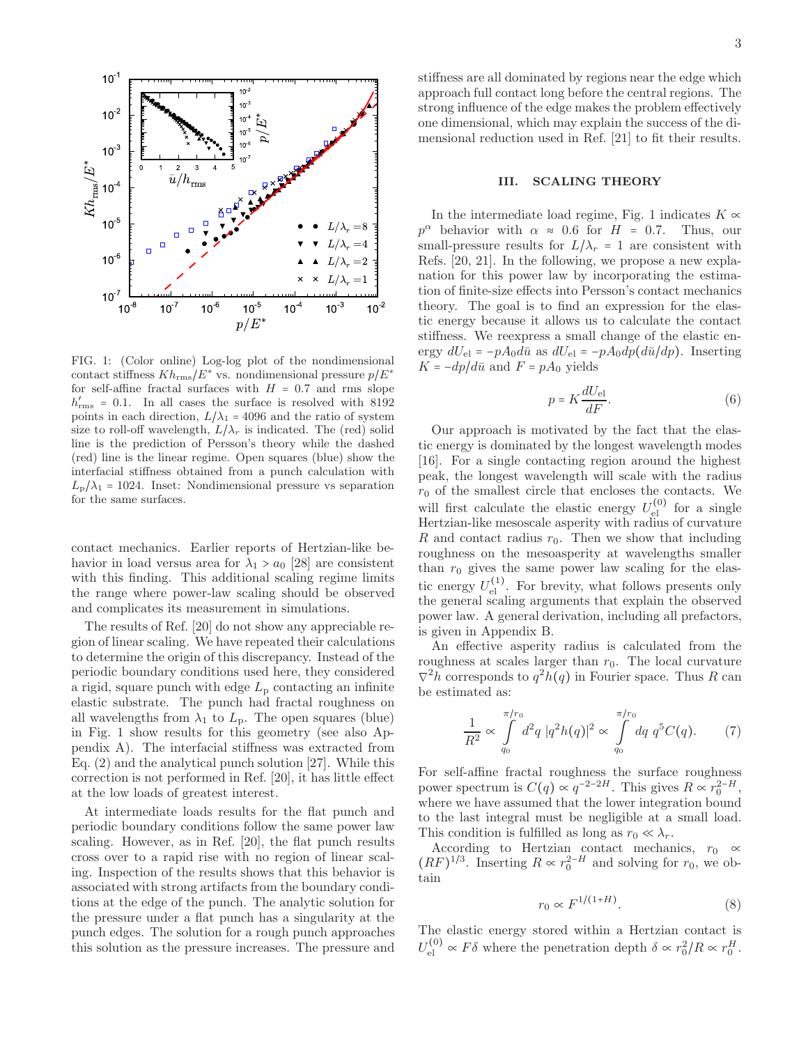

FIG. 1: (Color online) Log-log plot of the nondimensional contact stiffness  $Kh_{\text{rms}}/E^*$  vs. nondimensional pressure  $p/E^*$ for self-affine fractal surfaces with  $H = 0.7$  and rms slope  $h'_{\text{rms}} = 0.1$ . In all cases the surface is resolved with 8192 points in each direction,  $L/\lambda_1 = 4096$  and the ratio of system size to roll-off wavelength,  $L/\lambda_r$  is indicated. The (red) solid line is the prediction of Persson's theory while the dashed (red) line is the linear regime. Open squares (blue) show the interfacial stiffness obtained from a punch calculation with  $L_{\rm p}/\lambda_1$  = 1024. Inset: Nondimensional pressure vs separation for the same surfaces.

contact mechanics. Earlier reports of Hertzian-like behavior in load versus area for  $\lambda_1 > a_0$  [28] are consistent with this finding. This additional scaling regime limits the range where power-law scaling should be observed and complicates its measurement in simulations.

The results of Ref. [20] do not show any appreciable region of linear scaling. We have repeated their calculations to determine the origin of this discrepancy. Instead of the periodic boundary conditions used here, they considered a rigid, square punch with edge  $L_p$  contacting an infinite elastic substrate. The punch had fractal roughness on all wavelengths from  $\lambda_1$  to  $L_p$ . The open squares (blue) in Fig. 1 show results for this geometry (see also Appendix A). The interfacial stiffness was extracted from Eq. (2) and the analytical punch solution [27]. While this correction is not performed in Ref. [20], it has little effect at the low loads of greatest interest.

At intermediate loads results for the flat punch and periodic boundary conditions follow the same power law scaling. However, as in Ref. [20], the flat punch results cross over to a rapid rise with no region of linear scaling. Inspection of the results shows that this behavior is associated with strong artifacts from the boundary conditions at the edge of the punch. The analytic solution for the pressure under a flat punch has a singularity at the punch edges. The solution for a rough punch approaches this solution as the pressure increases. The pressure and

stiffness are all dominated by regions near the edge which approach full contact long before the central regions. The strong influence of the edge makes the problem effectively one dimensional, which may explain the success of the dimensional reduction used in Ref. [21] to fit their results.

## III. SCALING THEORY

In the intermediate load regime, Fig. 1 indicates  $K \propto$  $p^{\alpha}$  behavior with  $\alpha \approx 0.6$  for  $H = 0.7$ . Thus, our small-pressure results for  $L/\lambda_r = 1$  are consistent with Refs. [20, 21]. In the following, we propose a new explanation for this power law by incorporating the estimation of finite-size effects into Persson's contact mechanics theory. The goal is to find an expression for the elastic energy because it allows us to calculate the contact stiffness. We reexpress a small change of the elastic energy  $dU_{\text{el}} = -pA_0d\bar{u}$  as  $dU_{\text{el}} = -pA_0dp(d\bar{u}/dp)$ . Inserting  $K = -dp/d\bar{u}$  and  $F = pA_0$  yields

$$
p = K \frac{dU_{\text{el}}}{dF}.\tag{6}
$$

Our approach is motivated by the fact that the elastic energy is dominated by the longest wavelength modes [16]. For a single contacting region around the highest peak, the longest wavelength will scale with the radius  $r_0$  of the smallest circle that encloses the contacts. We will first calculate the elastic energy  $U_{\text{el}}^{(0)}$  for a single Hertzian-like mesoscale asperity with radius of curvature R and contact radius  $r_0$ . Then we show that including roughness on the mesoasperity at wavelengths smaller than  $r_0$  gives the same power law scaling for the elastic energy  $U_{el}^{(1)}$ . For brevity, what follows presents only the general scaling arguments that explain the observed power law. A general derivation, including all prefactors, is given in Appendix B.

An effective asperity radius is calculated from the roughness at scales larger than  $r_0$ . The local curvature  $\nabla^2 h$  corresponds to  $q^2 h(q)$  in Fourier space. Thus R can be estimated as:

$$
\frac{1}{R^2} \propto \int\limits_{q_0}^{\pi/r_0} d^2q \; |q^2 h(q)|^2 \propto \int\limits_{q_0}^{\pi/r_0} dq \; q^5 C(q). \tag{7}
$$

For self-affine fractal roughness the surface roughness power spectrum is  $C(q) \propto q^{-2-2H}$ . This gives  $R \propto r_0^{2-H}$ , where we have assumed that the lower integration bound to the last integral must be negligible at a small load. This condition is fulfilled as long as  $r_0 \ll \lambda_r$ .

According to Hertzian contact mechanics,  $r_0 \propto$  $(RF)^{1/3}$ . Inserting  $R \propto r_0^{2-H}$  and solving for  $r_0$ , we obtain

$$
r_0 \propto F^{1/(1+H)}.\tag{8}
$$

The elastic energy stored within a Hertzian contact is  $U_{\text{el}}^{(0)} \propto F \delta$  where the penetration depth  $\delta \propto r_0^2/R \propto r_0^H$ .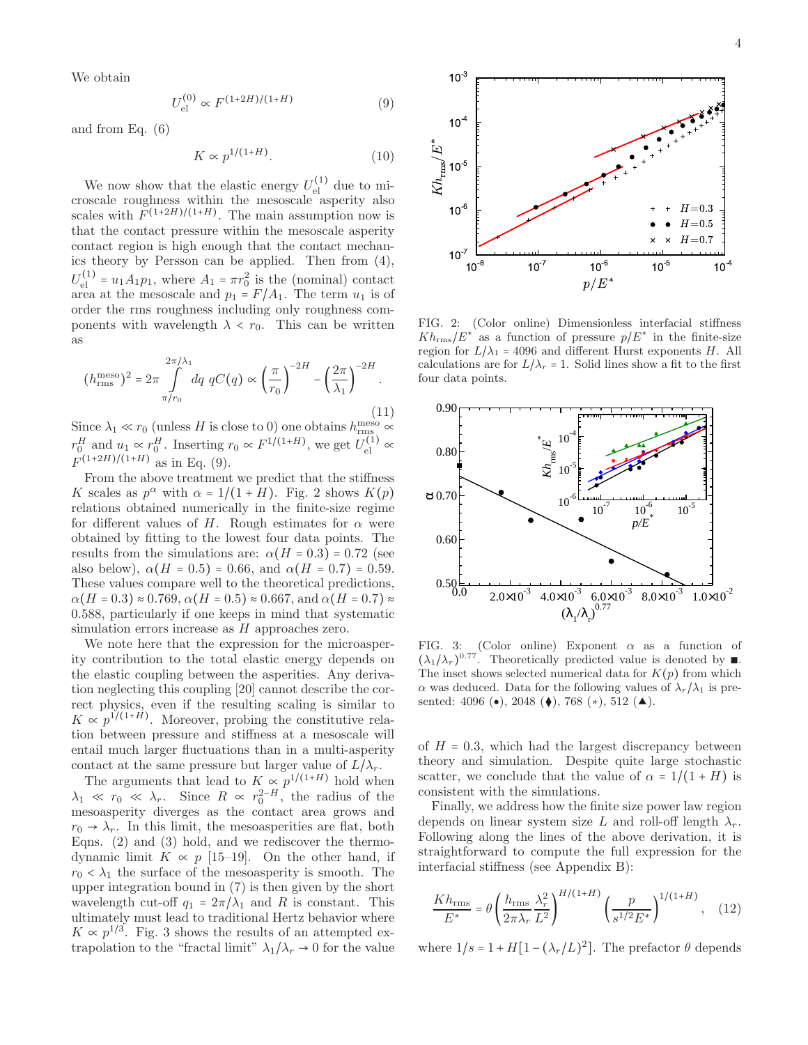We obtain

$$
U_{\rm el}^{(0)} \propto F^{(1+2H)/(1+H)} \tag{9}
$$

and from Eq. (6)

$$
K \propto p^{1/(1+H)}.\tag{10}
$$

We now show that the elastic energy  $U_{\text{el}}^{(1)}$  due to microscale roughness within the mesoscale asperity also scales with  $\overline{F}^{(1+2H)/(1+H)}$ . The main assumption now is that the contact pressure within the mesoscale asperity contact region is high enough that the contact mechanics theory by Persson can be applied. Then from (4),  $U_{\text{el}}^{(1)} = u_1 A_1 p_1$ , where  $A_1 = \pi r_0^2$  is the (nominal) contact area at the mesoscale and  $p_1 = F/A_1$ . The term  $u_1$  is of order the rms roughness including only roughness components with wavelength  $\lambda < r_0$ . This can be written as

$$
(h_{\rm rms}^{\rm meso})^2 = 2\pi \int_{\pi/r_0}^{2\pi/\lambda_1} dq \ qC(q) \propto \left(\frac{\pi}{r_0}\right)^{-2H} - \left(\frac{2\pi}{\lambda_1}\right)^{-2H}.
$$
\n(11)

Since  $\lambda_1 \ll r_0$  (unless H is close to 0) one obtains  $h_{\text{rms}}^{\text{meso}} \propto$  $r_0^H$  and  $u_1 \propto r_0^H$ . Inserting  $r_0 \propto F^{1/(1+H)}$ , we get  $U_{\text{el}}^{(1)} \propto$  $F^{(1+2H)/(1+H)}$  as in Eq. (9).

From the above treatment we predict that the stiffness K scales as  $p^{\alpha}$  with  $\alpha = 1/(1 + H)$ . Fig. 2 shows  $K(p)$ relations obtained numerically in the finite-size regime for different values of H. Rough estimates for  $\alpha$  were obtained by fitting to the lowest four data points. The results from the simulations are:  $\alpha(H = 0.3) = 0.72$  (see also below),  $\alpha(H = 0.5) = 0.66$ , and  $\alpha(H = 0.7) = 0.59$ . These values compare well to the theoretical predictions,  $\alpha(H = 0.3) \approx 0.769$ ,  $\alpha(H = 0.5) \approx 0.667$ , and  $\alpha(H = 0.7) \approx$ 0.588, particularly if one keeps in mind that systematic simulation errors increase as  $H$  approaches zero.

We note here that the expression for the microasperity contribution to the total elastic energy depends on the elastic coupling between the asperities. Any derivation neglecting this coupling [20] cannot describe the correct physics, even if the resulting scaling is similar to  $K \propto p^{1/(1+H)}$ . Moreover, probing the constitutive relation between pressure and stiffness at a mesoscale will entail much larger fluctuations than in a multi-asperity contact at the same pressure but larger value of  $L/\lambda_r$ .

The arguments that lead to  $K \propto p^{1/(1+H)}$  hold when  $\lambda_1 \ll r_0 \ll \lambda_r$ . Since  $R \propto r_0^{2-H}$ , the radius of the mesoasperity diverges as the contact area grows and  $r_0 \rightarrow \lambda_r$ . In this limit, the mesoasperities are flat, both Eqns. (2) and (3) hold, and we rediscover the thermodynamic limit  $K \propto p$  [15–19]. On the other hand, if  $r_0 < \lambda_1$  the surface of the mesoasperity is smooth. The upper integration bound in (7) is then given by the short wavelength cut-off  $q_1 = 2\pi/\lambda_1$  and R is constant. This ultimately must lead to traditional Hertz behavior where  $K \propto p^{1/3}$ . Fig. 3 shows the results of an attempted extrapolation to the "fractal limit"  $\lambda_1/\lambda_r \to 0$  for the value



FIG. 2: (Color online) Dimensionless interfacial stiffness  $Kh_{\rm rms}/E^*$  as a function of pressure  $p/E^*$  in the finite-size region for  $L/\lambda_1$  = 4096 and different Hurst exponents H. All calculations are for  $L/\lambda_r = 1$ . Solid lines show a fit to the first four data points.



FIG. 3: (Color online) Exponent  $\alpha$  as a function of  $(\lambda_1/\lambda_r)^{0.77}$ . Theoretically predicted value is denoted by ■. The inset shows selected numerical data for  $K(p)$  from which  $\alpha$  was deduced. Data for the following values of  $\lambda_r/\lambda_1$  is presented: 4096 ( $\bullet$ ), 2048 ( $\bullet$ ), 768 ( $\star$ ), 512 ( $\blacktriangle$ ).

of  $H = 0.3$ , which had the largest discrepancy between theory and simulation. Despite quite large stochastic scatter, we conclude that the value of  $\alpha = 1/(1 + H)$  is consistent with the simulations.

Finally, we address how the finite size power law region depends on linear system size L and roll-off length  $\lambda_r$ . Following along the lines of the above derivation, it is straightforward to compute the full expression for the interfacial stiffness (see Appendix B):

$$
\frac{Kh_{\rm rms}}{E^*} = \theta \left(\frac{h_{\rm rms}}{2\pi\lambda_r} \frac{\lambda_r^2}{L^2}\right)^{H/(1+H)} \left(\frac{p}{s^{1/2}E^*}\right)^{1/(1+H)},\quad(12)
$$

where  $1/s = 1 + H[1 - (\lambda_r/L)^2]$ . The prefactor  $\theta$  depends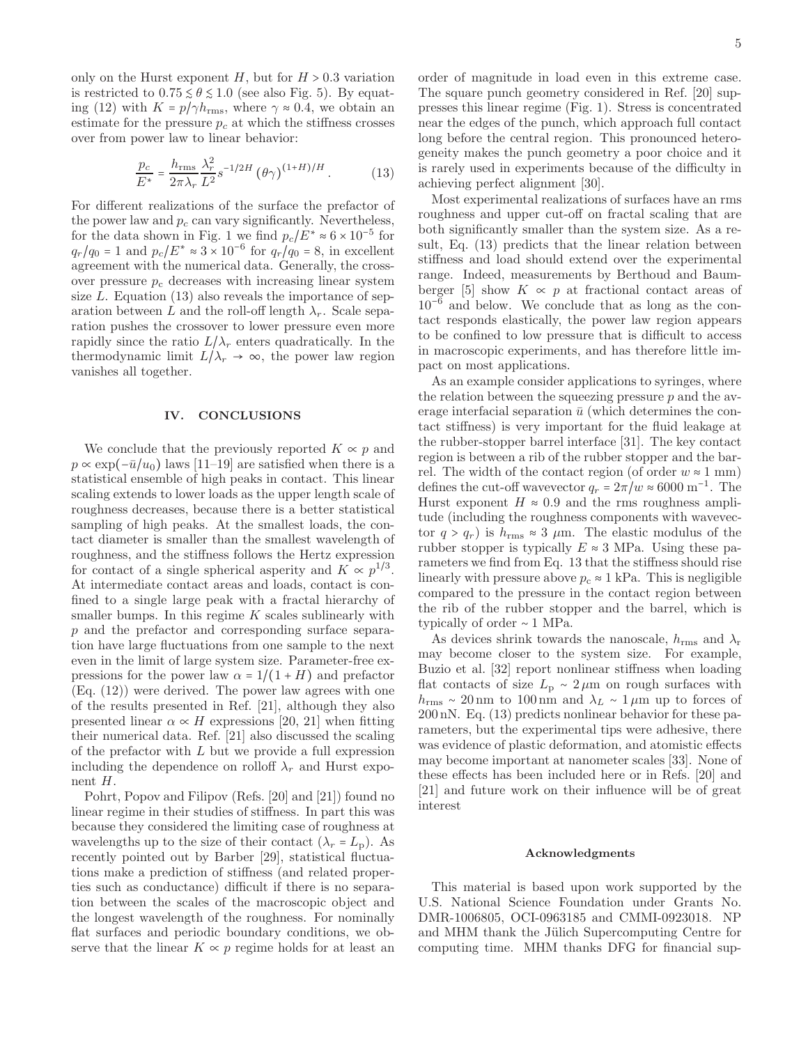only on the Hurst exponent  $H$ , but for  $H > 0.3$  variation is restricted to  $0.75 \le \theta \le 1.0$  (see also Fig. 5). By equating (12) with  $K = p/\gamma h_{\rm rms}$ , where  $\gamma \approx 0.4$ , we obtain an estimate for the pressure  $p_c$  at which the stiffness crosses over from power law to linear behavior:

$$
\frac{p_c}{E^*} = \frac{h_{\rm rms}}{2\pi\lambda_r} \frac{\lambda_r^2}{L^2} s^{-1/2H} \left(\theta\gamma\right)^{(1+H)/H}.
$$
 (13)

For different realizations of the surface the prefactor of the power law and  $p_c$  can vary significantly. Nevertheless, for the data shown in Fig. 1 we find  $p_c/E^* \approx 6 \times 10^{-5}$  for  $q_r/q_0 = 1$  and  $p_c/E^* \approx 3 \times 10^{-6}$  for  $q_r/q_0 = 8$ , in excellent agreement with the numerical data. Generally, the crossover pressure  $p_c$  decreases with increasing linear system size  $L$ . Equation (13) also reveals the importance of separation between L and the roll-off length  $\lambda_r$ . Scale separation pushes the crossover to lower pressure even more rapidly since the ratio  $L/\lambda_r$  enters quadratically. In the thermodynamic limit  $L/\lambda_r \rightarrow \infty$ , the power law region vanishes all together.

### IV. CONCLUSIONS

We conclude that the previously reported  $K \propto p$  and  $p \propto \exp(-\bar{u}/u_0)$  laws [11–19] are satisfied when there is a statistical ensemble of high peaks in contact. This linear scaling extends to lower loads as the upper length scale of roughness decreases, because there is a better statistical sampling of high peaks. At the smallest loads, the contact diameter is smaller than the smallest wavelength of roughness, and the stiffness follows the Hertz expression for contact of a single spherical asperity and  $K \propto p^{1/3}$ . At intermediate contact areas and loads, contact is confined to a single large peak with a fractal hierarchy of smaller bumps. In this regime  $K$  scales sublinearly with p and the prefactor and corresponding surface separation have large fluctuations from one sample to the next even in the limit of large system size. Parameter-free expressions for the power law  $\alpha = 1/(1 + H)$  and prefactor (Eq. (12)) were derived. The power law agrees with one of the results presented in Ref. [21], although they also presented linear  $\alpha \propto H$  expressions [20, 21] when fitting their numerical data. Ref. [21] also discussed the scaling of the prefactor with  $L$  but we provide a full expression including the dependence on rolloff  $\lambda_r$  and Hurst exponent H.

Pohrt, Popov and Filipov (Refs. [20] and [21]) found no linear regime in their studies of stiffness. In part this was because they considered the limiting case of roughness at wavelengths up to the size of their contact  $(\lambda_r = L_p)$ . As recently pointed out by Barber [29], statistical fluctuations make a prediction of stiffness (and related properties such as conductance) difficult if there is no separation between the scales of the macroscopic object and the longest wavelength of the roughness. For nominally flat surfaces and periodic boundary conditions, we observe that the linear  $K \propto p$  regime holds for at least an

order of magnitude in load even in this extreme case. The square punch geometry considered in Ref. [20] suppresses this linear regime (Fig. 1). Stress is concentrated near the edges of the punch, which approach full contact long before the central region. This pronounced heterogeneity makes the punch geometry a poor choice and it is rarely used in experiments because of the difficulty in achieving perfect alignment [30].

Most experimental realizations of surfaces have an rms roughness and upper cut-off on fractal scaling that are both significantly smaller than the system size. As a result, Eq. (13) predicts that the linear relation between stiffness and load should extend over the experimental range. Indeed, measurements by Berthoud and Baumberger [5] show  $K \propto p$  at fractional contact areas of  $10^{-6}$  and below. We conclude that as long as the contact responds elastically, the power law region appears to be confined to low pressure that is difficult to access in macroscopic experiments, and has therefore little impact on most applications.

As an example consider applications to syringes, where the relation between the squeezing pressure  $p$  and the average interfacial separation  $\bar{u}$  (which determines the contact stiffness) is very important for the fluid leakage at the rubber-stopper barrel interface [31]. The key contact region is between a rib of the rubber stopper and the barrel. The width of the contact region (of order  $w \approx 1$  mm) defines the cut-off wavevector  $q_r = 2\pi/w \approx 6000 \text{ m}^{-1}$ . The Hurst exponent  $H \approx 0.9$  and the rms roughness amplitude (including the roughness components with wavevector  $q > q_r$ ) is  $h_{\rm rms} \approx 3 \mu$ m. The elastic modulus of the rubber stopper is typically  $E \approx 3$  MPa. Using these parameters we find from Eq. 13 that the stiffness should rise linearly with pressure above  $p_c \approx 1$  kPa. This is negligible compared to the pressure in the contact region between the rib of the rubber stopper and the barrel, which is typically of order ∼ 1 MPa.

As devices shrink towards the nanoscale,  $h_{\text{rms}}$  and  $\lambda_{\text{r}}$ may become closer to the system size. For example, Buzio et al. [32] report nonlinear stiffness when loading flat contacts of size  $L_p \sim 2 \mu m$  on rough surfaces with hrms ∼ 20 nm to 100 nm and λ<sup>L</sup> ∼ 1µm up to forces of 200 nN. Eq. (13) predicts nonlinear behavior for these parameters, but the experimental tips were adhesive, there was evidence of plastic deformation, and atomistic effects may become important at nanometer scales [33]. None of these effects has been included here or in Refs. [20] and [21] and future work on their influence will be of great interest

### Acknowledgments

This material is based upon work supported by the U.S. National Science Foundation under Grants No. DMR-1006805, OCI-0963185 and CMMI-0923018. NP and MHM thank the Jülich Supercomputing Centre for computing time. MHM thanks DFG for financial sup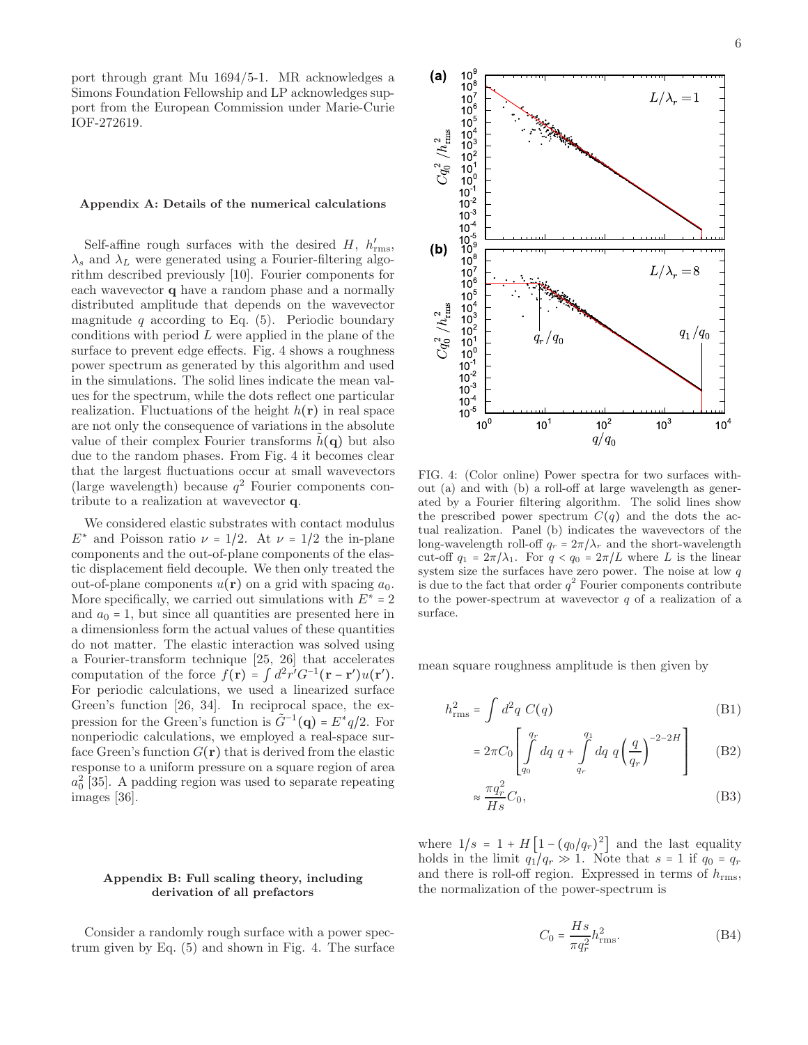port through grant Mu 1694/5-1. MR acknowledges a Simons Foundation Fellowship and LP acknowledges support from the European Commission under Marie-Curie IOF-272619.

#### Appendix A: Details of the numerical calculations

Self-affine rough surfaces with the desired  $H$ ,  $h'_{\text{rms}}$ ,  $\lambda_s$  and  $\lambda_L$  were generated using a Fourier-filtering algorithm described previously [10]. Fourier components for each wavevector q have a random phase and a normally distributed amplitude that depends on the wavevector magnitude q according to Eq.  $(5)$ . Periodic boundary conditions with period  $L$  were applied in the plane of the surface to prevent edge effects. Fig. 4 shows a roughness power spectrum as generated by this algorithm and used in the simulations. The solid lines indicate the mean values for the spectrum, while the dots reflect one particular realization. Fluctuations of the height  $h(\mathbf{r})$  in real space are not only the consequence of variations in the absolute value of their complex Fourier transforms  $h(\mathbf{q})$  but also due to the random phases. From Fig. 4 it becomes clear that the largest fluctuations occur at small wavevectors (large wavelength) because  $q^2$  Fourier components contribute to a realization at wavevector q.

We considered elastic substrates with contact modulus  $E^*$  and Poisson ratio  $\nu = 1/2$ . At  $\nu = 1/2$  the in-plane components and the out-of-plane components of the elastic displacement field decouple. We then only treated the out-of-plane components  $u(\mathbf{r})$  on a grid with spacing  $a_0$ . More specifically, we carried out simulations with  $E^* = 2$ and  $a_0 = 1$ , but since all quantities are presented here in a dimensionless form the actual values of these quantities do not matter. The elastic interaction was solved using a Fourier-transform technique [25, 26] that accelerates computation of the force  $f(\mathbf{r}) = \int d^2 r' G^{-1}(\mathbf{r} - \mathbf{r}') u(\mathbf{r}').$ For periodic calculations, we used a linearized surface Green's function [26, 34]. In reciprocal space, the expression for the Green's function is  $\tilde{G}^{-1}(\mathbf{q}) = E^* q/2$ . For nonperiodic calculations, we employed a real-space surface Green's function  $G(\mathbf{r})$  that is derived from the elastic response to a uniform pressure on a square region of area  $a_0^2$  [35]. A padding region was used to separate repeating images [36].

## Appendix B: Full scaling theory, including derivation of all prefactors

Consider a randomly rough surface with a power spectrum given by Eq. (5) and shown in Fig. 4. The surface



FIG. 4: (Color online) Power spectra for two surfaces without (a) and with (b) a roll-off at large wavelength as generated by a Fourier filtering algorithm. The solid lines show the prescribed power spectrum  $C(q)$  and the dots the actual realization. Panel (b) indicates the wavevectors of the long-wavelength roll-off  $q_r = 2\pi/\lambda_r$  and the short-wavelength cut-off  $q_1 = 2\pi/\lambda_1$ . For  $q < q_0 = 2\pi/L$  where L is the linear system size the surfaces have zero power. The noise at low  $q$ is due to the fact that order  $q^2$  Fourier components contribute to the power-spectrum at wavevector  $q$  of a realization of a surface.

mean square roughness amplitude is then given by

≈

$$
h_{\rm rms}^2 = \int d^2q \ C(q) \tag{B1}
$$

$$
=2\pi C_0 \left[ \int_{q_0}^{q_r} dq \, q + \int_{q_r}^{q_1} dq \, q \left( \frac{q}{q_r} \right)^{-2-2H} \right] \tag{B2}
$$

$$
\frac{\pi q_r^2}{Hs}C_0,\tag{B3}
$$

where  $1/s = 1 + H\left[1 - (q_0/q_r)^2\right]$  and the last equality holds in the limit  $q_1/q_r \gg 1$ . Note that  $s = 1$  if  $q_0 = q_r$ and there is roll-off region. Expressed in terms of  $h_{\text{rms}}$ , the normalization of the power-spectrum is

$$
C_0 = \frac{Hs}{\pi q_r^2} h_{\text{rms}}^2.
$$
 (B4)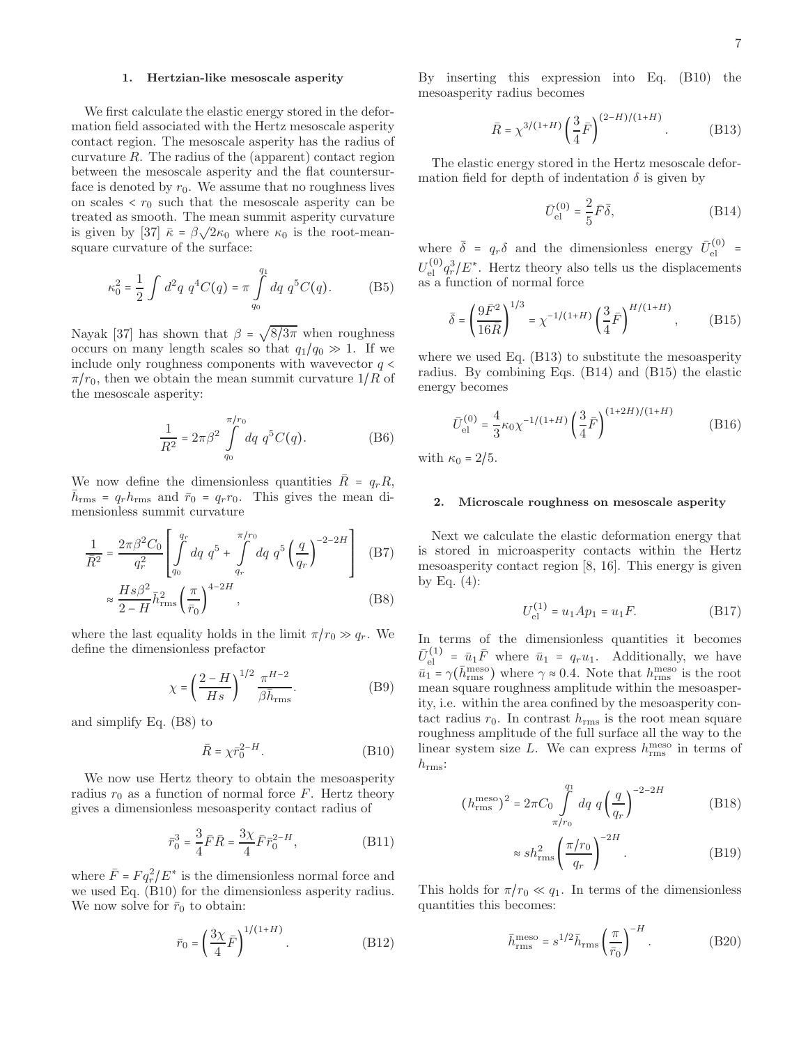### 1. Hertzian-like mesoscale asperity

We first calculate the elastic energy stored in the deformation field associated with the Hertz mesoscale asperity contact region. The mesoscale asperity has the radius of curvature R. The radius of the (apparent) contact region between the mesoscale asperity and the flat countersurface is denoted by  $r_0$ . We assume that no roughness lives on scales  $\langle r_0 \rangle$  such that the mesoscale asperity can be treated as smooth. The mean summit asperity curvature is given by [37]  $\bar{\kappa} = \beta \sqrt{2\kappa_0}$  where  $\kappa_0$  is the root-meansquare curvature of the surface:

$$
\kappa_0^2 = \frac{1}{2} \int d^2 q \ q^4 C(q) = \pi \int_{q_0}^{q_1} dq \ q^5 C(q). \tag{B5}
$$

Nayak [37] has shown that  $\beta = \sqrt{8/3\pi}$  when roughness occurs on many length scales so that  $q_1/q_0 \gg 1$ . If we include only roughness components with wavevector  $q \lt \ell$  $\pi/r_0$ , then we obtain the mean summit curvature  $1/R$  of the mesoscale asperity:

$$
\frac{1}{R^2} = 2\pi\beta^2 \int_{q_0}^{\pi/r_0} dq \ q^5 C(q).
$$
 (B6)

We now define the dimensionless quantities  $\bar{R} = q_r R$ ,  $\bar{h}_{\rm rms}$  =  $q_r h_{\rm rms}$  and  $\bar{r}_0$  =  $q_r r_0$ . This gives the mean dimensionless summit curvature

$$
\frac{1}{\bar{R}^2} = \frac{2\pi\beta^2 C_0}{q_r^2} \left[ \int_{q_0}^{q_r} dq \ q^5 + \int_{q_r}^{\pi/r_0} dq \ q^5 \left( \frac{q}{q_r} \right)^{-2-2H} \right] \quad (B7)
$$

$$
\approx \frac{Hs\beta^2}{2-H} \bar{h}_{\rm rms}^2 \left( \frac{\pi}{\bar{r}_0} \right)^{4-2H}, \tag{B8}
$$

where the last equality holds in the limit  $\pi/r_0 \gg q_r$ . We define the dimensionless prefactor

$$
\chi = \left(\frac{2 - H}{Hs}\right)^{1/2} \frac{\pi^{H-2}}{\beta \bar{h}_{\rm rms}}.\tag{B9}
$$

and simplify Eq. (B8) to

$$
\bar{R} = \chi \bar{r}_0^{2-H}.
$$
 (B10)

We now use Hertz theory to obtain the mesoasperity radius  $r_0$  as a function of normal force F. Hertz theory gives a dimensionless mesoasperity contact radius of

$$
\bar{r}_0^3 = \frac{3}{4}\bar{F}\bar{R} = \frac{3\chi}{4}\bar{F}\bar{r}_0^{2-H},\tag{B11}
$$

where  $\bar{F} = F q_r^2 / E^*$  is the dimensionless normal force and we used Eq. (B10) for the dimensionless asperity radius. We now solve for  $\bar{r}_0$  to obtain:

$$
\bar{r}_0 = \left(\frac{3\chi}{4}\bar{F}\right)^{1/(1+H)}.\tag{B12}
$$

By inserting this expression into Eq. (B10) the mesoasperity radius becomes

$$
\bar{R} = \chi^{3/(1+H)} \left(\frac{3}{4}\bar{F}\right)^{(2-H)/(1+H)}.\tag{B13}
$$

The elastic energy stored in the Hertz mesoscale deformation field for depth of indentation  $\delta$  is given by

$$
\bar{U}_{\text{el}}^{(0)} = \frac{2}{5} \bar{F} \bar{\delta},\tag{B14}
$$

where  $\bar{\delta} = q_r \delta$  and the dimensionless energy  $\bar{U}_{el}^{(0)}$  =  $U_{\text{el}}^{(0)}q_r^3/E^*$ . Hertz theory also tells us the displacements as a function of normal force

$$
\bar{\delta} = \left(\frac{9\bar{F}^2}{16\bar{R}}\right)^{1/3} = \chi^{-1/(1+H)} \left(\frac{3}{4}\bar{F}\right)^{H/(1+H)},\tag{B15}
$$

where we used Eq. (B13) to substitute the mesoasperity radius. By combining Eqs. (B14) and (B15) the elastic energy becomes

$$
\bar{U}_{\text{el}}^{(0)} = \frac{4}{3} \kappa_0 \chi^{-1/(1+H)} \left(\frac{3}{4}\bar{F}\right)^{(1+2H)/(1+H)} \tag{B16}
$$

with  $\kappa_0 = 2/5$ .

### 2. Microscale roughness on mesoscale asperity

Next we calculate the elastic deformation energy that is stored in microasperity contacts within the Hertz mesoasperity contact region [8, 16]. This energy is given by Eq.  $(4)$ :

$$
U_{\text{el}}^{(1)} = u_1 A p_1 = u_1 F. \tag{B17}
$$

In terms of the dimensionless quantities it becomes  $\bar{U}_{\text{el}}^{(1)} = \bar{u}_1 \bar{F}$  where  $\bar{u}_1 = q_r u_1$ . Additionally, we have  $\bar{u}_1 = \gamma(\bar{h}_{\text{rms}}^{\text{meso}})$  where  $\gamma \approx 0.4$ . Note that  $h_{\text{rms}}^{\text{meso}}$  is the root mean square roughness amplitude within the mesoasperity, i.e. within the area confined by the mesoasperity contact radius  $r_0$ . In contrast  $h_{\text{rms}}$  is the root mean square roughness amplitude of the full surface all the way to the linear system size  $L$ . We can express  $h_{\text{rms}}^{\text{meso}}$  in terms of  $h_{\rm rms}$ :

$$
(h_{\rm rms}^{\rm meso})^2 = 2\pi C_0 \int_{\pi/r_0}^{q_1} dq \, q \left(\frac{q}{q_r}\right)^{-2-2H}
$$
 (B18)

$$
\approx sh_{\rm rms}^2 \left(\frac{\pi/r_0}{q_r}\right)^{-2H}.\tag{B19}
$$

This holds for  $\pi/r_0 \ll q_1$ . In terms of the dimensionless quantities this becomes:

$$
\bar{h}_{\rm rms}^{\rm meso} = s^{1/2} \bar{h}_{\rm rms} \left(\frac{\pi}{\bar{r}_0}\right)^{-H}.
$$
 (B20)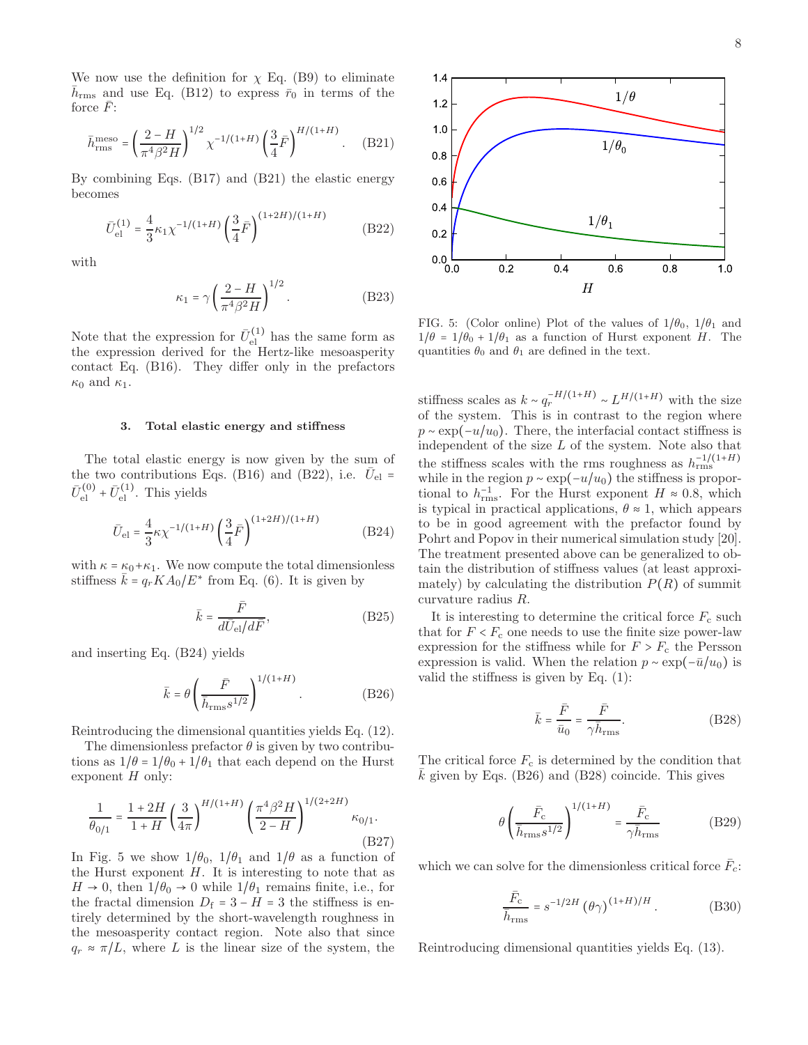We now use the definition for  $\chi$  Eq. (B9) to eliminate  $\bar{h}_{\text{rms}}$  and use Eq. (B12) to express  $\bar{r}_0$  in terms of the force  $\bar{F}$ :

$$
\bar{h}^{\text{meso}}_{\text{rms}} = \left(\frac{2 - H}{\pi^4 \beta^2 H}\right)^{1/2} \chi^{-1/(1+H)} \left(\frac{3}{4} \bar{F}\right)^{H/(1+H)}.\tag{B21}
$$

By combining Eqs. (B17) and (B21) the elastic energy becomes

$$
\bar{U}_{\text{el}}^{(1)} = \frac{4}{3} \kappa_1 \chi^{-1/(1+H)} \left(\frac{3}{4} \bar{F}\right)^{(1+2H)/(1+H)} \tag{B22}
$$

with

$$
\kappa_1 = \gamma \left(\frac{2 - H}{\pi^4 \beta^2 H}\right)^{1/2}.\tag{B23}
$$

Note that the expression for  $\bar{U}_{el}^{(1)}$  has the same form as the expression derived for the Hertz-like mesoasperity contact Eq. (B16). They differ only in the prefactors  $\kappa_0$  and  $\kappa_1$ .

### 3. Total elastic energy and stiffness

The total elastic energy is now given by the sum of the two contributions Eqs. (B16) and (B22), i.e.  $\bar{U}_{\text{el}} =$  $\bar{U}_{\text{el}}^{(0)}$  +  $\bar{U}_{\text{el}}^{(1)}$ . This yields

$$
\bar{U}_{\text{el}} = \frac{4}{3} \kappa \chi^{-1/(1+H)} \left(\frac{3}{4} \bar{F}\right)^{(1+2H)/(1+H)} \tag{B24}
$$

with  $\kappa = \kappa_0 + \kappa_1$ . We now compute the total dimensionless stiffness  $\bar{k} = q_r K A_0 / E^*$  from Eq. (6). It is given by

$$
\bar{k} = \frac{\bar{F}}{d\bar{U}_{\text{el}}/d\bar{F}},\tag{B25}
$$

and inserting Eq. (B24) yields

$$
\bar{k} = \theta \left( \frac{\bar{F}}{\bar{h}_{\rm rms} s^{1/2}} \right)^{1/(1+H)}.
$$
 (B26)

Reintroducing the dimensional quantities yields Eq. (12).

The dimensionless prefactor  $\theta$  is given by two contributions as  $1/\theta = 1/\theta_0 + 1/\theta_1$  that each depend on the Hurst exponent  $H$  only:

$$
\frac{1}{\theta_{0/1}} = \frac{1 + 2H}{1 + H} \left(\frac{3}{4\pi}\right)^{H/(1+H)} \left(\frac{\pi^4 \beta^2 H}{2 - H}\right)^{1/(2+2H)} \kappa_{0/1}.
$$
\n(B27)

In Fig. 5 we show  $1/\theta_0$ ,  $1/\theta_1$  and  $1/\theta$  as a function of the Hurst exponent  $H$ . It is interesting to note that as  $H \to 0$ , then  $1/\theta_0 \to 0$  while  $1/\theta_1$  remains finite, i.e., for the fractal dimension  $D_f = 3 - H = 3$  the stiffness is entirely determined by the short-wavelength roughness in the mesoasperity contact region. Note also that since  $q_r \approx \pi/L$ , where L is the linear size of the system, the



FIG. 5: (Color online) Plot of the values of  $1/\theta_0$ ,  $1/\theta_1$  and  $1/\theta = 1/\theta_0 + 1/\theta_1$  as a function of Hurst exponent H. The quantities  $\theta_0$  and  $\theta_1$  are defined in the text.

stiffness scales as  $k \sim q_r^{-H/(1+H)} \sim L^{H/(1+H)}$  with the size of the system. This is in contrast to the region where  $p \sim \exp(-u/u_0)$ . There, the interfacial contact stiffness is independent of the size  $L$  of the system. Note also that the stiffness scales with the rms roughness as  $h_{\text{rms}}^{-1/(1+H)}$ while in the region  $p \sim \exp(-u/u_0)$  the stiffness is proportional to  $h_{\text{rms}}^{-1}$ . For the Hurst exponent  $H \approx 0.8$ , which is typical in practical applications,  $\theta \approx 1$ , which appears to be in good agreement with the prefactor found by Pohrt and Popov in their numerical simulation study [20]. The treatment presented above can be generalized to obtain the distribution of stiffness values (at least approximately) by calculating the distribution  $P(R)$  of summit curvature radius R.

It is interesting to determine the critical force  $F_c$  such that for  $F < F_c$  one needs to use the finite size power-law expression for the stiffness while for  $F > F_c$  the Persson expression is valid. When the relation  $p \sim \exp(-\bar{u}/u_0)$  is valid the stiffness is given by Eq. (1):

$$
\bar{k} = \frac{\bar{F}}{\bar{u}_0} = \frac{\bar{F}}{\gamma \bar{h}_{\rm rms}}.\tag{B28}
$$

The critical force  $F_c$  is determined by the condition that  $k$  given by Eqs. (B26) and (B28) coincide. This gives

$$
\theta \left( \frac{\bar{F}_{\rm c}}{\bar{h}_{\rm rms} s^{1/2}} \right)^{1/(1+H)} = \frac{\bar{F}_{\rm c}}{\gamma \bar{h}_{\rm rms}} \tag{B29}
$$

which we can solve for the dimensionless critical force  $\bar{F}_c$ :

$$
\frac{\bar{F}_{\rm c}}{\bar{h}_{\rm rms}} = s^{-1/2H} \left(\theta \gamma\right)^{(1+H)/H}.\tag{B30}
$$

Reintroducing dimensional quantities yields Eq. (13).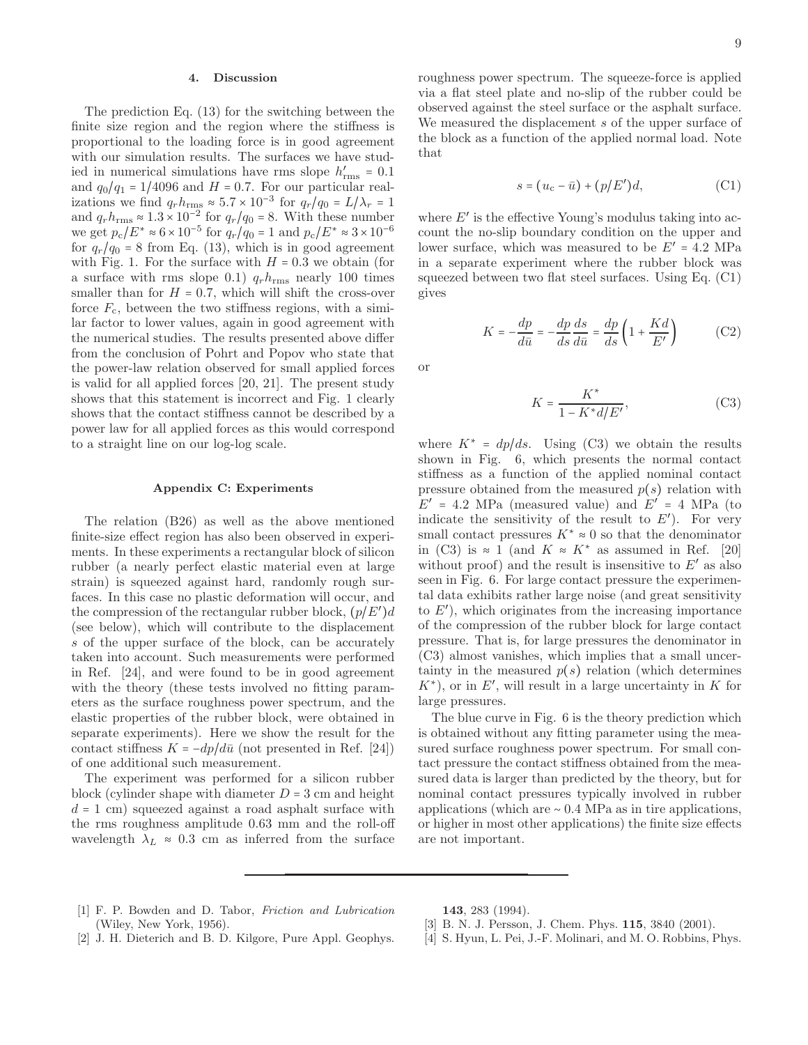### 4. Discussion

The prediction Eq. (13) for the switching between the finite size region and the region where the stiffness is proportional to the loading force is in good agreement with our simulation results. The surfaces we have studied in numerical simulations have rms slope  $h'_{\text{rms}} = 0.1$ and  $q_0/q_1 = 1/4096$  and  $H = 0.7$ . For our particular realizations we find  $q_r h_{\text{rms}} \approx 5.7 \times 10^{-3}$  for  $q_r/q_0 = L/\lambda_r = 1$ and  $q_r h_{\rm rms} \approx 1.3 \times 10^{-2}$  for  $q_r/q_0 = 8$ . With these number we get  $p_c/E^* \approx 6 \times 10^{-5}$  for  $q_r/q_0 = 1$  and  $p_c/E^* \approx 3 \times 10^{-6}$ for  $q_r/q_0 = 8$  from Eq. (13), which is in good agreement with Fig. 1. For the surface with  $H = 0.3$  we obtain (for a surface with rms slope 0.1)  $q_r h_{\rm rms}$  nearly 100 times smaller than for  $H = 0.7$ , which will shift the cross-over force  $F_c$ , between the two stiffness regions, with a similar factor to lower values, again in good agreement with the numerical studies. The results presented above differ from the conclusion of Pohrt and Popov who state that the power-law relation observed for small applied forces is valid for all applied forces [20, 21]. The present study shows that this statement is incorrect and Fig. 1 clearly shows that the contact stiffness cannot be described by a power law for all applied forces as this would correspond to a straight line on our log-log scale.

#### Appendix C: Experiments

The relation (B26) as well as the above mentioned finite-size effect region has also been observed in experiments. In these experiments a rectangular block of silicon rubber (a nearly perfect elastic material even at large strain) is squeezed against hard, randomly rough surfaces. In this case no plastic deformation will occur, and the compression of the rectangular rubber block,  $(p/E')d$ (see below), which will contribute to the displacement s of the upper surface of the block, can be accurately taken into account. Such measurements were performed in Ref. [24], and were found to be in good agreement with the theory (these tests involved no fitting parameters as the surface roughness power spectrum, and the elastic properties of the rubber block, were obtained in separate experiments). Here we show the result for the contact stiffness  $K = -dp/d\bar{u}$  (not presented in Ref. [24]) of one additional such measurement.

The experiment was performed for a silicon rubber block (cylinder shape with diameter  $D = 3$  cm and height  $d = 1$  cm) squeezed against a road asphalt surface with the rms roughness amplitude 0.63 mm and the roll-off wavelength  $\lambda_L \approx 0.3$  cm as inferred from the surface

roughness power spectrum. The squeeze-force is applied via a flat steel plate and no-slip of the rubber could be observed against the steel surface or the asphalt surface. We measured the displacement s of the upper surface of the block as a function of the applied normal load. Note that

$$
s = (u_c - \bar{u}) + (p/E')d, \tag{C1}
$$

where  $E'$  is the effective Young's modulus taking into account the no-slip boundary condition on the upper and lower surface, which was measured to be  $E' = 4.2$  MPa in a separate experiment where the rubber block was squeezed between two flat steel surfaces. Using Eq. (C1) gives

$$
K = -\frac{dp}{d\bar{u}} = -\frac{dp}{ds}\frac{ds}{d\bar{u}} = \frac{dp}{ds}\left(1 + \frac{Kd}{E'}\right) \tag{C2}
$$

or

$$
K = \frac{K^*}{1 - K^* d / E'},\tag{C3}
$$

where  $K^* = dp/ds$ . Using (C3) we obtain the results shown in Fig. 6, which presents the normal contact stiffness as a function of the applied nominal contact pressure obtained from the measured  $p(s)$  relation with  $E' = 4.2$  MPa (measured value) and  $E' = 4$  MPa (to indicate the sensitivity of the result to  $E'$ ). For very small contact pressures  $K^* \approx 0$  so that the denominator in (C3) is  $\approx 1$  (and  $K \approx K^*$  as assumed in Ref. [20] without proof) and the result is insensitive to  $E'$  as also seen in Fig. 6. For large contact pressure the experimental data exhibits rather large noise (and great sensitivity to  $E'$ ), which originates from the increasing importance of the compression of the rubber block for large contact pressure. That is, for large pressures the denominator in (C3) almost vanishes, which implies that a small uncertainty in the measured  $p(s)$  relation (which determines  $K^*$ ), or in E', will result in a large uncertainty in K for large pressures.

The blue curve in Fig. 6 is the theory prediction which is obtained without any fitting parameter using the measured surface roughness power spectrum. For small contact pressure the contact stiffness obtained from the measured data is larger than predicted by the theory, but for nominal contact pressures typically involved in rubber applications (which are ∼ 0.4 MPa as in tire applications, or higher in most other applications) the finite size effects are not important.

- [1] F. P. Bowden and D. Tabor, Friction and Lubrication (Wiley, New York, 1956). [2] J. H. Dieterich and B. D. Kilgore, Pure Appl. Geophys.
- 143, 283 (1994).
- [3] B. N. J. Persson, J. Chem. Phys. 115, 3840 (2001).
- [4] S. Hyun, L. Pei, J.-F. Molinari, and M. O. Robbins, Phys.